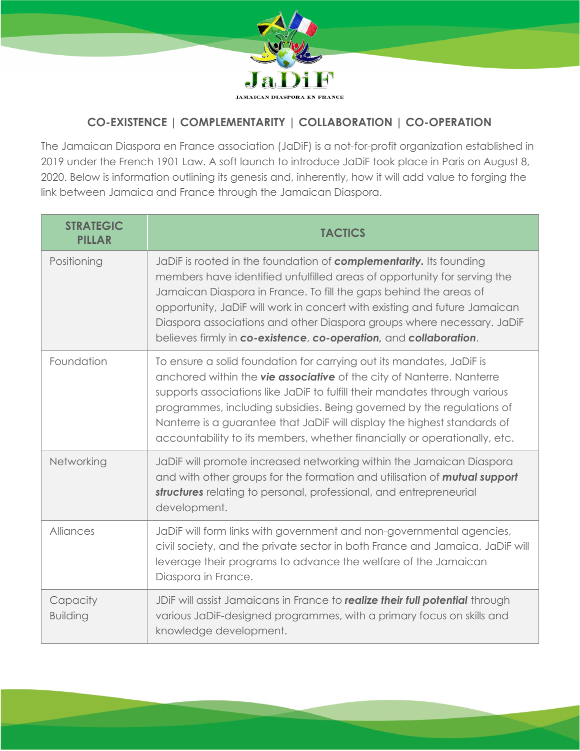

## **CO-EXISTENCE | COMPLEMENTARITY | COLLABORATION | CO-OPERATION**

The Jamaican Diaspora en France association (JaDiF) is a not-for-profit organization established in 2019 under the French 1901 Law. A soft launch to introduce JaDiF took place in Paris on August 8, 2020. Below is information outlining its genesis and, inherently, how it will add value to forging the link between Jamaica and France through the Jamaican Diaspora.

| <b>STRATEGIC</b><br><b>PILLAR</b> | <b>TACTICS</b>                                                                                                                                                                                                                                                                                                                                                                                                                                                |
|-----------------------------------|---------------------------------------------------------------------------------------------------------------------------------------------------------------------------------------------------------------------------------------------------------------------------------------------------------------------------------------------------------------------------------------------------------------------------------------------------------------|
| Positioning                       | JaDiF is rooted in the foundation of <b>complementarity.</b> Its founding<br>members have identified unfulfilled areas of opportunity for serving the<br>Jamaican Diaspora in France. To fill the gaps behind the areas of<br>opportunity, JaDiF will work in concert with existing and future Jamaican<br>Diaspora associations and other Diaspora groups where necessary. JaDiF<br>believes firmly in co-existence, co-operation, and collaboration.        |
| Foundation                        | To ensure a solid foundation for carrying out its mandates, JaDiF is<br>anchored within the vie associative of the city of Nanterre. Nanterre<br>supports associations like JaDiF to fulfill their mandates through various<br>programmes, including subsidies. Being governed by the regulations of<br>Nanterre is a guarantee that JaDiF will display the highest standards of<br>accountability to its members, whether financially or operationally, etc. |
| Networking                        | JaDiF will promote increased networking within the Jamaican Diaspora<br>and with other groups for the formation and utilisation of <b>mutual support</b><br>structures relating to personal, professional, and entrepreneurial<br>development.                                                                                                                                                                                                                |
| Alliances                         | JaDiF will form links with government and non-governmental agencies,<br>civil society, and the private sector in both France and Jamaica. JaDiF will<br>leverage their programs to advance the welfare of the Jamaican<br>Diaspora in France.                                                                                                                                                                                                                 |
| Capacity<br><b>Building</b>       | JDIF will assist Jamaicans in France to realize their full potential through<br>various JaDiF-designed programmes, with a primary focus on skills and<br>knowledge development.                                                                                                                                                                                                                                                                               |